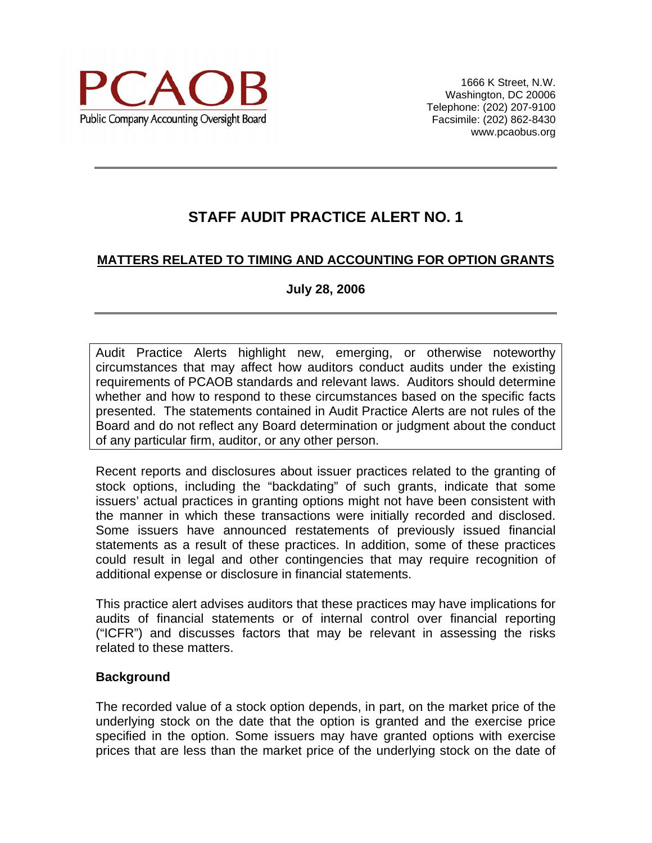

## **MATTERS RELATED TO TIMING AND ACCOUNTING FOR OPTION GRANTS**

#### **July 28, 2006**

Audit Practice Alerts highlight new, emerging, or otherwise noteworthy circumstances that may affect how auditors conduct audits under the existing requirements of PCAOB standards and relevant laws. Auditors should determine whether and how to respond to these circumstances based on the specific facts presented. The statements contained in Audit Practice Alerts are not rules of the Board and do not reflect any Board determination or judgment about the conduct of any particular firm, auditor, or any other person.

Recent reports and disclosures about issuer practices related to the granting of stock options, including the "backdating" of such grants, indicate that some issuers' actual practices in granting options might not have been consistent with the manner in which these transactions were initially recorded and disclosed. Some issuers have announced restatements of previously issued financial statements as a result of these practices. In addition, some of these practices could result in legal and other contingencies that may require recognition of additional expense or disclosure in financial statements.

This practice alert advises auditors that these practices may have implications for audits of financial statements or of internal control over financial reporting ("ICFR") and discusses factors that may be relevant in assessing the risks related to these matters.

#### **Background**

The recorded value of a stock option depends, in part, on the market price of the underlying stock on the date that the option is granted and the exercise price specified in the option. Some issuers may have granted options with exercise prices that are less than the market price of the underlying stock on the date of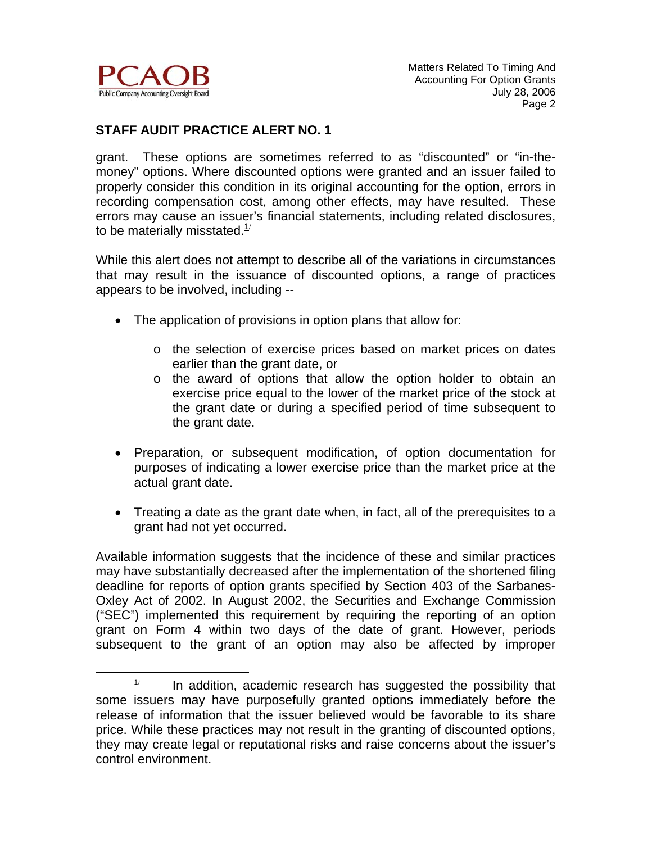

 $\overline{a}$ 

#### **STAFF AUDIT PRACTICE ALERT NO. 1**

grant. These options are sometimes referred to as "discounted" or "in-themoney" options. Where discounted options were granted and an issuer failed to properly consider this condition in its original accounting for the option, errors in recording compensation cost, among other effects, may have resulted. These errors may cause an issuer's financial statements, including related disclosures, to be materially misstated. $1/2$ 

While this alert does not attempt to describe all of the variations in circumstances that may result in the issuance of discounted options, a range of practices appears to be involved, including --

- The application of provisions in option plans that allow for:
	- o the selection of exercise prices based on market prices on dates earlier than the grant date, or
	- o the award of options that allow the option holder to obtain an exercise price equal to the lower of the market price of the stock at the grant date or during a specified period of time subsequent to the grant date.
- Preparation, or subsequent modification, of option documentation for purposes of indicating a lower exercise price than the market price at the actual grant date.
- Treating a date as the grant date when, in fact, all of the prerequisites to a grant had not yet occurred.

Available information suggests that the incidence of these and similar practices may have substantially decreased after the implementation of the shortened filing deadline for reports of option grants specified by Section 403 of the Sarbanes-Oxley Act of 2002. In August 2002, the Securities and Exchange Commission ("SEC") implemented this requirement by requiring the reporting of an option grant on Form 4 within two days of the date of grant. However, periods subsequent to the grant of an option may also be affected by improper

 $1/$  In addition, academic research has suggested the possibility that some issuers may have purposefully granted options immediately before the release of information that the issuer believed would be favorable to its share price. While these practices may not result in the granting of discounted options, they may create legal or reputational risks and raise concerns about the issuer's control environment.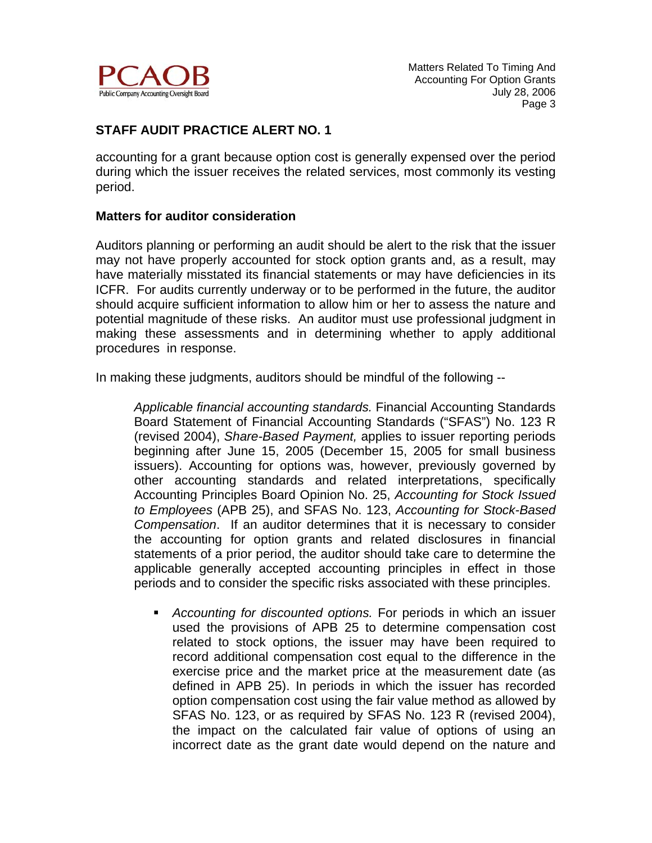

accounting for a grant because option cost is generally expensed over the period during which the issuer receives the related services, most commonly its vesting period.

#### **Matters for auditor consideration**

Auditors planning or performing an audit should be alert to the risk that the issuer may not have properly accounted for stock option grants and, as a result, may have materially misstated its financial statements or may have deficiencies in its ICFR. For audits currently underway or to be performed in the future, the auditor should acquire sufficient information to allow him or her to assess the nature and potential magnitude of these risks. An auditor must use professional judgment in making these assessments and in determining whether to apply additional procedures in response.

In making these judgments, auditors should be mindful of the following --

*Applicable financial accounting standards.* Financial Accounting Standards Board Statement of Financial Accounting Standards ("SFAS") No. 123 R (revised 2004), *Share-Based Payment,* applies to issuer reporting periods beginning after June 15, 2005 (December 15, 2005 for small business issuers). Accounting for options was, however, previously governed by other accounting standards and related interpretations, specifically Accounting Principles Board Opinion No. 25, *Accounting for Stock Issued to Employees* (APB 25), and SFAS No. 123, *Accounting for Stock-Based Compensation*. If an auditor determines that it is necessary to consider the accounting for option grants and related disclosures in financial statements of a prior period, the auditor should take care to determine the applicable generally accepted accounting principles in effect in those periods and to consider the specific risks associated with these principles.

 *Accounting for discounted options.* For periods in which an issuer used the provisions of APB 25 to determine compensation cost related to stock options, the issuer may have been required to record additional compensation cost equal to the difference in the exercise price and the market price at the measurement date (as defined in APB 25). In periods in which the issuer has recorded option compensation cost using the fair value method as allowed by SFAS No. 123, or as required by SFAS No. 123 R (revised 2004), the impact on the calculated fair value of options of using an incorrect date as the grant date would depend on the nature and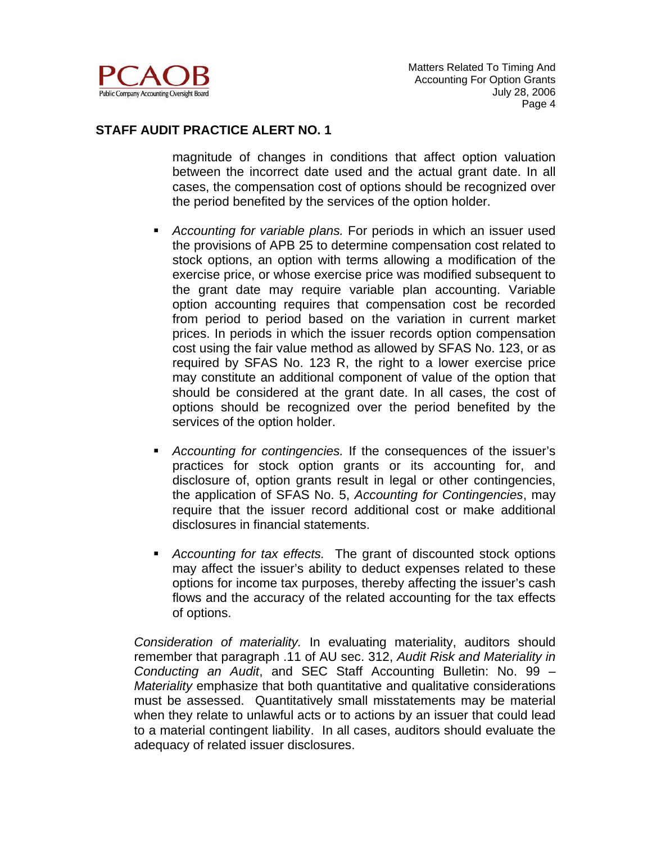

magnitude of changes in conditions that affect option valuation between the incorrect date used and the actual grant date. In all cases, the compensation cost of options should be recognized over the period benefited by the services of the option holder.

- *Accounting for variable plans.* For periods in which an issuer used the provisions of APB 25 to determine compensation cost related to stock options, an option with terms allowing a modification of the exercise price, or whose exercise price was modified subsequent to the grant date may require variable plan accounting. Variable option accounting requires that compensation cost be recorded from period to period based on the variation in current market prices. In periods in which the issuer records option compensation cost using the fair value method as allowed by SFAS No. 123, or as required by SFAS No. 123 R, the right to a lower exercise price may constitute an additional component of value of the option that should be considered at the grant date. In all cases, the cost of options should be recognized over the period benefited by the services of the option holder.
- *Accounting for contingencies.* If the consequences of the issuer's practices for stock option grants or its accounting for, and disclosure of, option grants result in legal or other contingencies, the application of SFAS No. 5, *Accounting for Contingencies*, may require that the issuer record additional cost or make additional disclosures in financial statements.
- *Accounting for tax effects.* The grant of discounted stock options may affect the issuer's ability to deduct expenses related to these options for income tax purposes, thereby affecting the issuer's cash flows and the accuracy of the related accounting for the tax effects of options.

*Consideration of materiality.* In evaluating materiality, auditors should remember that paragraph .11 of AU sec. 312, *Audit Risk and Materiality in Conducting an Audit*, and SEC Staff Accounting Bulletin: No. 99 – *Materiality* emphasize that both quantitative and qualitative considerations must be assessed. Quantitatively small misstatements may be material when they relate to unlawful acts or to actions by an issuer that could lead to a material contingent liability. In all cases, auditors should evaluate the adequacy of related issuer disclosures.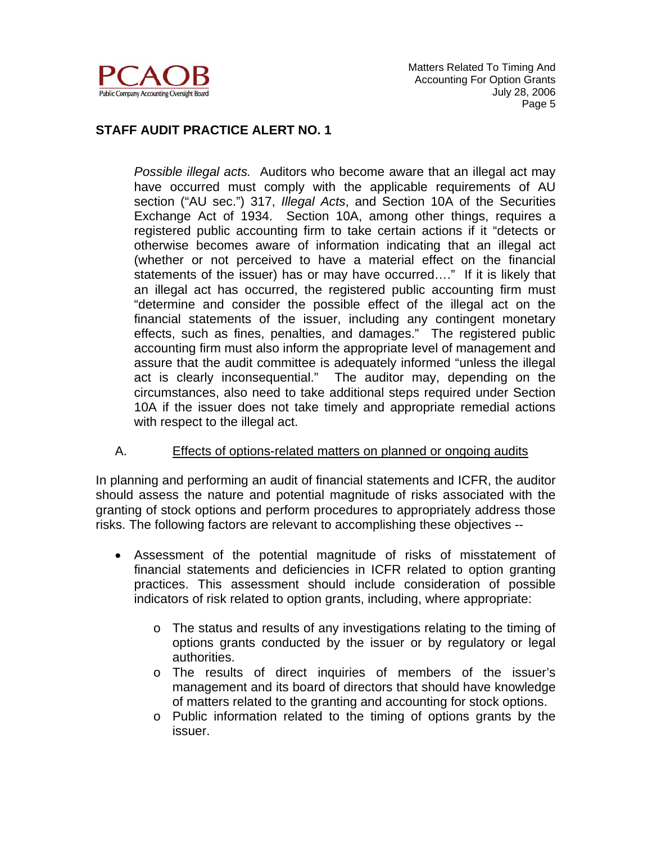

*Possible illegal acts.* Auditors who become aware that an illegal act may have occurred must comply with the applicable requirements of AU section ("AU sec.") 317, *Illegal Acts*, and Section 10A of the Securities Exchange Act of 1934.Section 10A, among other things, requires a registered public accounting firm to take certain actions if it "detects or otherwise becomes aware of information indicating that an illegal act (whether or not perceived to have a material effect on the financial statements of the issuer) has or may have occurred…." If it is likely that an illegal act has occurred, the registered public accounting firm must "determine and consider the possible effect of the illegal act on the financial statements of the issuer, including any contingent monetary effects, such as fines, penalties, and damages." The registered public accounting firm must also inform the appropriate level of management and assure that the audit committee is adequately informed "unless the illegal act is clearly inconsequential." The auditor may, depending on the circumstances, also need to take additional steps required under Section 10A if the issuer does not take timely and appropriate remedial actions with respect to the illegal act.

#### A. Effects of options-related matters on planned or ongoing audits

In planning and performing an audit of financial statements and ICFR, the auditor should assess the nature and potential magnitude of risks associated with the granting of stock options and perform procedures to appropriately address those risks. The following factors are relevant to accomplishing these objectives --

- Assessment of the potential magnitude of risks of misstatement of financial statements and deficiencies in ICFR related to option granting practices. This assessment should include consideration of possible indicators of risk related to option grants, including, where appropriate:
	- $\circ$  The status and results of any investigations relating to the timing of options grants conducted by the issuer or by regulatory or legal authorities.
	- o The results of direct inquiries of members of the issuer's management and its board of directors that should have knowledge of matters related to the granting and accounting for stock options.
	- o Public information related to the timing of options grants by the issuer.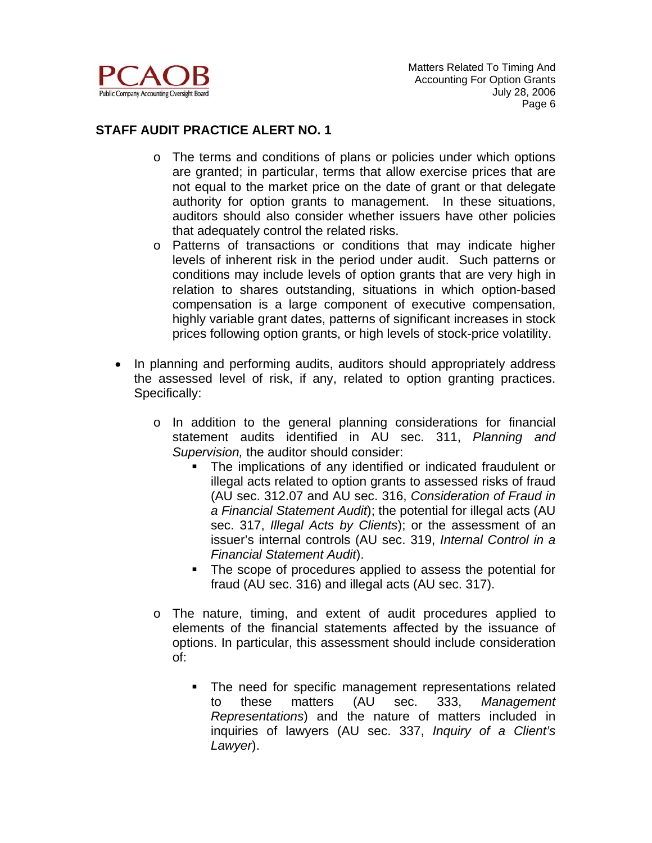

- o The terms and conditions of plans or policies under which options are granted; in particular, terms that allow exercise prices that are not equal to the market price on the date of grant or that delegate authority for option grants to management. In these situations, auditors should also consider whether issuers have other policies that adequately control the related risks.
- o Patterns of transactions or conditions that may indicate higher levels of inherent risk in the period under audit. Such patterns or conditions may include levels of option grants that are very high in relation to shares outstanding, situations in which option-based compensation is a large component of executive compensation, highly variable grant dates, patterns of significant increases in stock prices following option grants, or high levels of stock-price volatility.
- In planning and performing audits, auditors should appropriately address the assessed level of risk, if any, related to option granting practices. Specifically:
	- o In addition to the general planning considerations for financial statement audits identified in AU sec. 311, *Planning and Supervision,* the auditor should consider:
		- The implications of any identified or indicated fraudulent or illegal acts related to option grants to assessed risks of fraud (AU sec. 312.07 and AU sec. 316, *Consideration of Fraud in a Financial Statement Audit*); the potential for illegal acts (AU sec. 317, *Illegal Acts by Clients*); or the assessment of an issuer's internal controls (AU sec. 319, *Internal Control in a Financial Statement Audit*).
		- The scope of procedures applied to assess the potential for fraud (AU sec. 316) and illegal acts (AU sec. 317).
	- o The nature, timing, and extent of audit procedures applied to elements of the financial statements affected by the issuance of options. In particular, this assessment should include consideration of:
		- The need for specific management representations related to these matters (AU sec. 333, *Management Representations*) and the nature of matters included in inquiries of lawyers (AU sec. 337, *Inquiry of a Client's Lawyer*).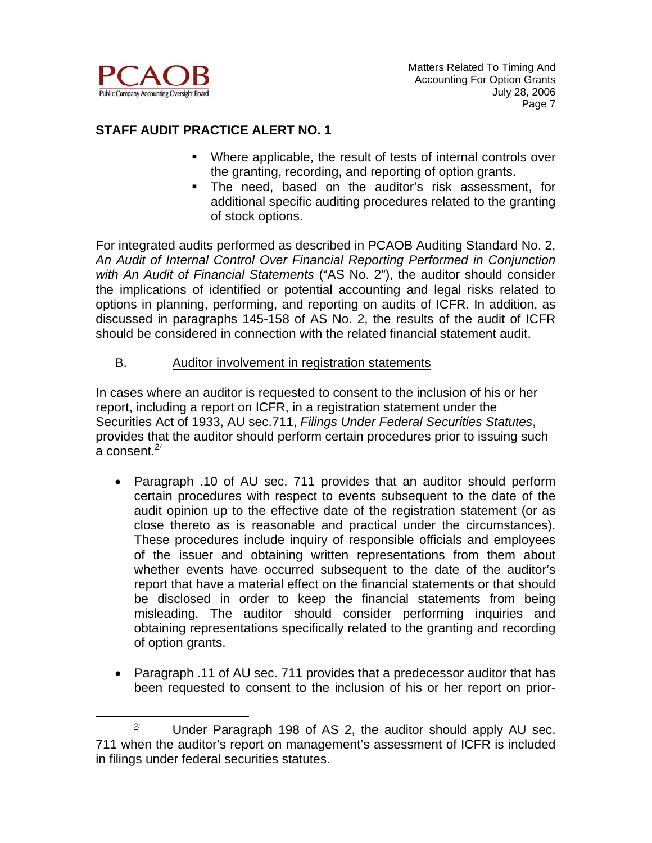

 $\overline{a}$ 

#### **STAFF AUDIT PRACTICE ALERT NO. 1**

- Where applicable, the result of tests of internal controls over the granting, recording, and reporting of option grants.
- The need, based on the auditor's risk assessment, for additional specific auditing procedures related to the granting of stock options.

For integrated audits performed as described in PCAOB Auditing Standard No. 2, *An Audit of Internal Control Over Financial Reporting Performed in Conjunction with An Audit of Financial Statements* ("AS No. 2"), the auditor should consider the implications of identified or potential accounting and legal risks related to options in planning, performing, and reporting on audits of ICFR. In addition, as discussed in paragraphs 145-158 of AS No. 2, the results of the audit of ICFR should be considered in connection with the related financial statement audit.

#### B. Auditor involvement in registration statements

In cases where an auditor is requested to consent to the inclusion of his or her report, including a report on ICFR, in a registration statement under the Securities Act of 1933, AU sec.711, *Filings Under Federal Securities Statutes*, provides that the auditor should perform certain procedures prior to issuing such a consent. $2/$ 

- Paragraph .10 of AU sec. 711 provides that an auditor should perform certain procedures with respect to events subsequent to the date of the audit opinion up to the effective date of the registration statement (or as close thereto as is reasonable and practical under the circumstances). These procedures include inquiry of responsible officials and employees of the issuer and obtaining written representations from them about whether events have occurred subsequent to the date of the auditor's report that have a material effect on the financial statements or that should be disclosed in order to keep the financial statements from being misleading. The auditor should consider performing inquiries and obtaining representations specifically related to the granting and recording of option grants.
- Paragraph .11 of AU sec. 711 provides that a predecessor auditor that has been requested to consent to the inclusion of his or her report on prior-

<sup>2</sup>/ Under Paragraph 198 of AS 2, the auditor should apply AU sec. 711 when the auditor's report on management's assessment of ICFR is included in filings under federal securities statutes.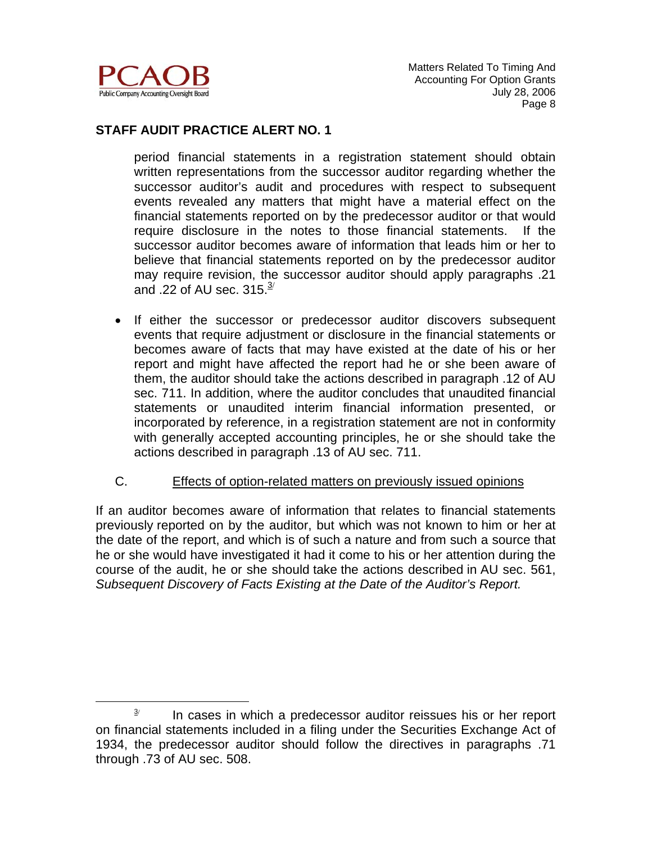

 $\overline{a}$ 

#### **STAFF AUDIT PRACTICE ALERT NO. 1**

period financial statements in a registration statement should obtain written representations from the successor auditor regarding whether the successor auditor's audit and procedures with respect to subsequent events revealed any matters that might have a material effect on the financial statements reported on by the predecessor auditor or that would require disclosure in the notes to those financial statements. If the successor auditor becomes aware of information that leads him or her to believe that financial statements reported on by the predecessor auditor may require revision, the successor auditor should apply paragraphs .21 and .22 of AU sec.  $315.\frac{3}{2}$ 

- If either the successor or predecessor auditor discovers subsequent events that require adjustment or disclosure in the financial statements or becomes aware of facts that may have existed at the date of his or her report and might have affected the report had he or she been aware of them, the auditor should take the actions described in paragraph .12 of AU sec. 711. In addition, where the auditor concludes that unaudited financial statements or unaudited interim financial information presented, or incorporated by reference, in a registration statement are not in conformity with generally accepted accounting principles, he or she should take the actions described in paragraph .13 of AU sec. 711.
- C. Effects of option-related matters on previously issued opinions

If an auditor becomes aware of information that relates to financial statements previously reported on by the auditor, but which was not known to him or her at the date of the report, and which is of such a nature and from such a source that he or she would have investigated it had it come to his or her attention during the course of the audit, he or she should take the actions described in AU sec. 561, *Subsequent Discovery of Facts Existing at the Date of the Auditor's Report.*

<sup>3</sup>/ In cases in which a predecessor auditor reissues his or her report on financial statements included in a filing under the Securities Exchange Act of 1934, the predecessor auditor should follow the directives in paragraphs .71 through .73 of AU sec. 508.